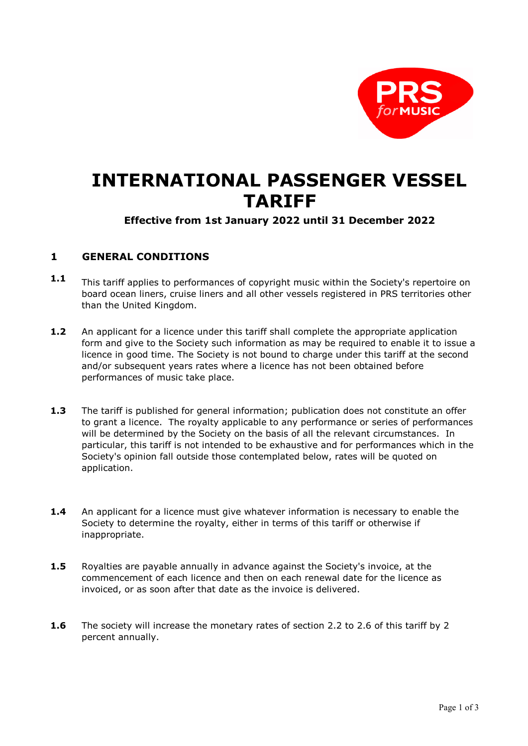

## **INTERNATIONAL PASSENGER VESSEL TARIFF**

## **Effective from 1st January 2022 until 31 December 2022**

## **1 GENERAL CONDITIONS**

- **1.1** This tariff applies to performances of copyright music within the Society's repertoire on board ocean liners, cruise liners and all other vessels registered in PRS territories other than the United Kingdom.
- **1.2** An applicant for a licence under this tariff shall complete the appropriate application form and give to the Society such information as may be required to enable it to issue a licence in good time. The Society is not bound to charge under this tariff at the second and/or subsequent years rates where a licence has not been obtained before performances of music take place.
- **1.3** The tariff is published for general information; publication does not constitute an offer to grant a licence. The royalty applicable to any performance or series of performances will be determined by the Society on the basis of all the relevant circumstances. In particular, this tariff is not intended to be exhaustive and for performances which in the Society's opinion fall outside those contemplated below, rates will be quoted on application.
- **1.4** An applicant for a licence must give whatever information is necessary to enable the Society to determine the royalty, either in terms of this tariff or otherwise if inappropriate.
- **1.5** Royalties are payable annually in advance against the Society's invoice, at the commencement of each licence and then on each renewal date for the licence as invoiced, or as soon after that date as the invoice is delivered.
- **1.6** The society will increase the monetary rates of section 2.2 to 2.6 of this tariff by 2 percent annually.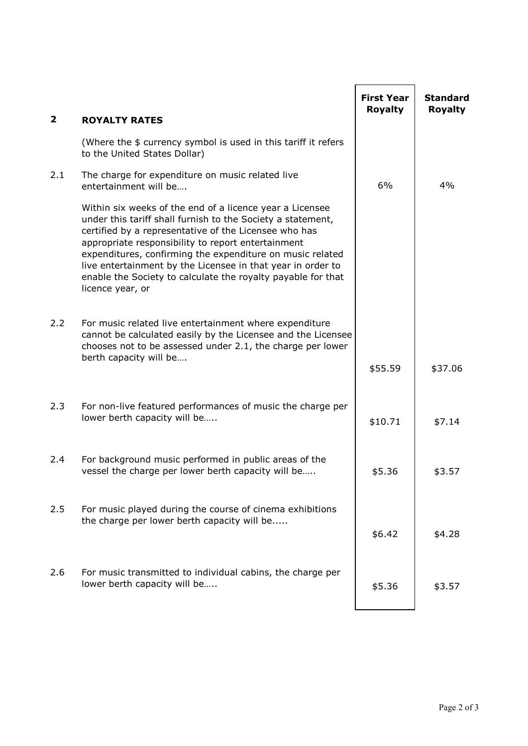| $\mathbf{2}$ | <b>ROYALTY RATES</b>                                                                                                                                                                                                                                                                                                                                                                                                                                   | <b>First Year</b><br><b>Royalty</b> | <b>Standard</b><br><b>Royalty</b> |
|--------------|--------------------------------------------------------------------------------------------------------------------------------------------------------------------------------------------------------------------------------------------------------------------------------------------------------------------------------------------------------------------------------------------------------------------------------------------------------|-------------------------------------|-----------------------------------|
|              | (Where the \$ currency symbol is used in this tariff it refers<br>to the United States Dollar)                                                                                                                                                                                                                                                                                                                                                         |                                     |                                   |
| 2.1          | The charge for expenditure on music related live<br>entertainment will be                                                                                                                                                                                                                                                                                                                                                                              | 6%                                  | 4%                                |
|              | Within six weeks of the end of a licence year a Licensee<br>under this tariff shall furnish to the Society a statement,<br>certified by a representative of the Licensee who has<br>appropriate responsibility to report entertainment<br>expenditures, confirming the expenditure on music related<br>live entertainment by the Licensee in that year in order to<br>enable the Society to calculate the royalty payable for that<br>licence year, or |                                     |                                   |
| 2.2          | For music related live entertainment where expenditure<br>cannot be calculated easily by the Licensee and the Licensee<br>chooses not to be assessed under 2.1, the charge per lower<br>berth capacity will be                                                                                                                                                                                                                                         | \$55.59                             | \$37.06                           |
| 2.3          | For non-live featured performances of music the charge per<br>lower berth capacity will be                                                                                                                                                                                                                                                                                                                                                             | \$10.71                             | \$7.14                            |
| 2.4          | For background music performed in public areas of the<br>vessel the charge per lower berth capacity will be                                                                                                                                                                                                                                                                                                                                            | \$5.36                              | \$3.57                            |
| 2.5          | For music played during the course of cinema exhibitions<br>the charge per lower berth capacity will be                                                                                                                                                                                                                                                                                                                                                | \$6.42                              | \$4.28                            |
| 2.6          | For music transmitted to individual cabins, the charge per<br>lower berth capacity will be                                                                                                                                                                                                                                                                                                                                                             | \$5.36                              | \$3.57                            |